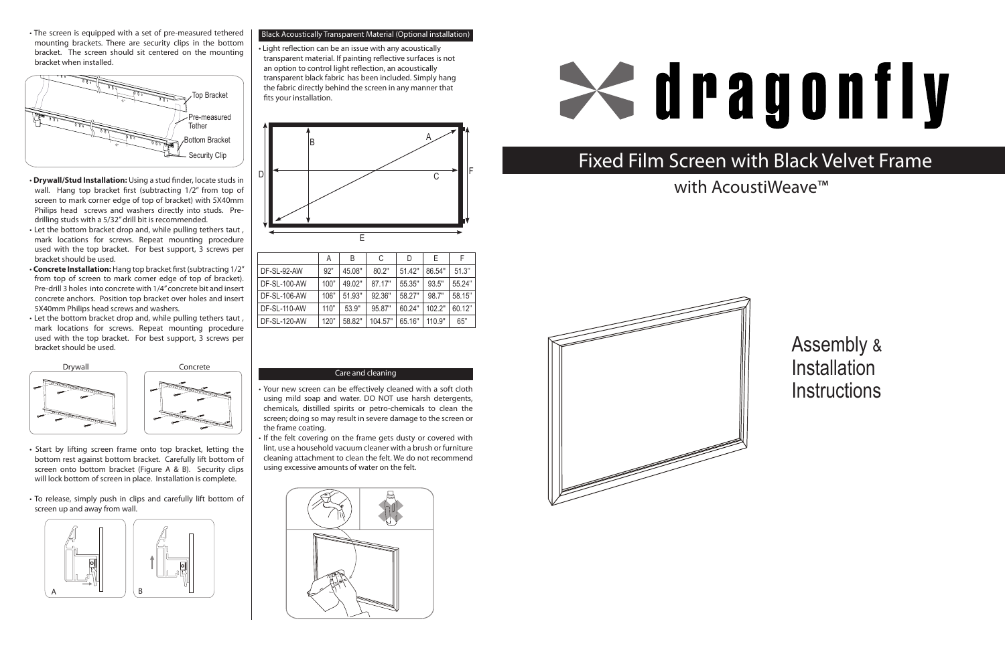#### Care and cleaning

• Your new screen can be effectively cleaned with a soft cloth using mild soap and water. DO NOT use harsh detergents, chemicals, distilled spirits or petro-chemicals to clean the screen; doing so may result in severe damage to the screen or the frame coating.

• If the felt covering on the frame gets dusty or covered with lint, use a household vacuum cleaner with a brush or furniture cleaning attachment to clean the felt. We do not recommend using excessive amounts of water on the felt.





Assembly & **Installation Instructions** 

|                     | Α    | B      | С       | D      | E      | F      |
|---------------------|------|--------|---------|--------|--------|--------|
| DF-SL-92-AW         | 92"  | 45.08" | 80.2"   | 51.42" | 86.54" | 51.3"  |
| <b>DF-SL-100-AW</b> | 100" | 49.02" | 87.17"  | 55.35" | 93.5"  | 55.24" |
| DF-SL-106-AW        | 106" | 51.93" | 92.36"  | 58.27" | 98.7"  | 58.15" |
| <b>DF-SL-110-AW</b> | 110" | 53.9"  | 95.87"  | 60.24" | 102.2" | 60.12" |
| <b>DF-SL-120-AW</b> | 120" | 58.82" | 104.57" | 65.16" | 110.9" | 65"    |

## Fixed Film Screen with Black Velvet Frame



# **Sedragonfly**

with AcoustiWeave<sup>™</sup>





• The screen is equipped with a set of pre-measured tethered mounting brackets. There are security clips in the bottom bracket. The screen should sit centered on the mounting bracket when installed.

- **Drywall/Stud Installation:** Using a stud finder, locate studsin wall. Hang top bracket first (subtracting 1/2" from top of screen to mark corner edge of top of bracket) with 5X40mm Philips head screws and washers directly into studs. Pre- drilling studs with a 5/32"drill bit is recommended.
- Let the bottom bracket drop and, while pulling tethers taut , mark locations for screws. Repeat mounting procedure used with the top bracket. For best support, 3 screws per bracket should be used.
- **Concrete Installation:** Hang top bracket first (subtracting 1/2" from top of screen to mark corner edge of top of bracket). Pre-drill 3 holes into concrete with 1/4"concrete bit and insert concrete anchors. Position top bracket over holes and insert 5X40mm Philips head screws and washers.
- Let the bottom bracket drop and, while pulling tethers taut , mark locations for screws. Repeat mounting procedure used with the top bracket. For best support, 3 screws per bracket should be used.

- Start by lifting screen frame onto top bracket, letting the bottom rest against bottom bracket. Carefully lift bottom of screen onto bottom bracket (Figure A & B). Security clips will lock bottom of screen in place. Installation is complete.
- To release, simply push in clips and carefully lift bottom of screen up and away from wall.





#### Black Acoustically Transparent Material (Optional installation)

• Light reflection can be an issue with any acoustically transparent material. If painting reflective surfaces is not an option to control light reflection, an acoustically transparent black fabric has been included. Simply hang the fabric directly behind the screen in any manner that fits your installation.